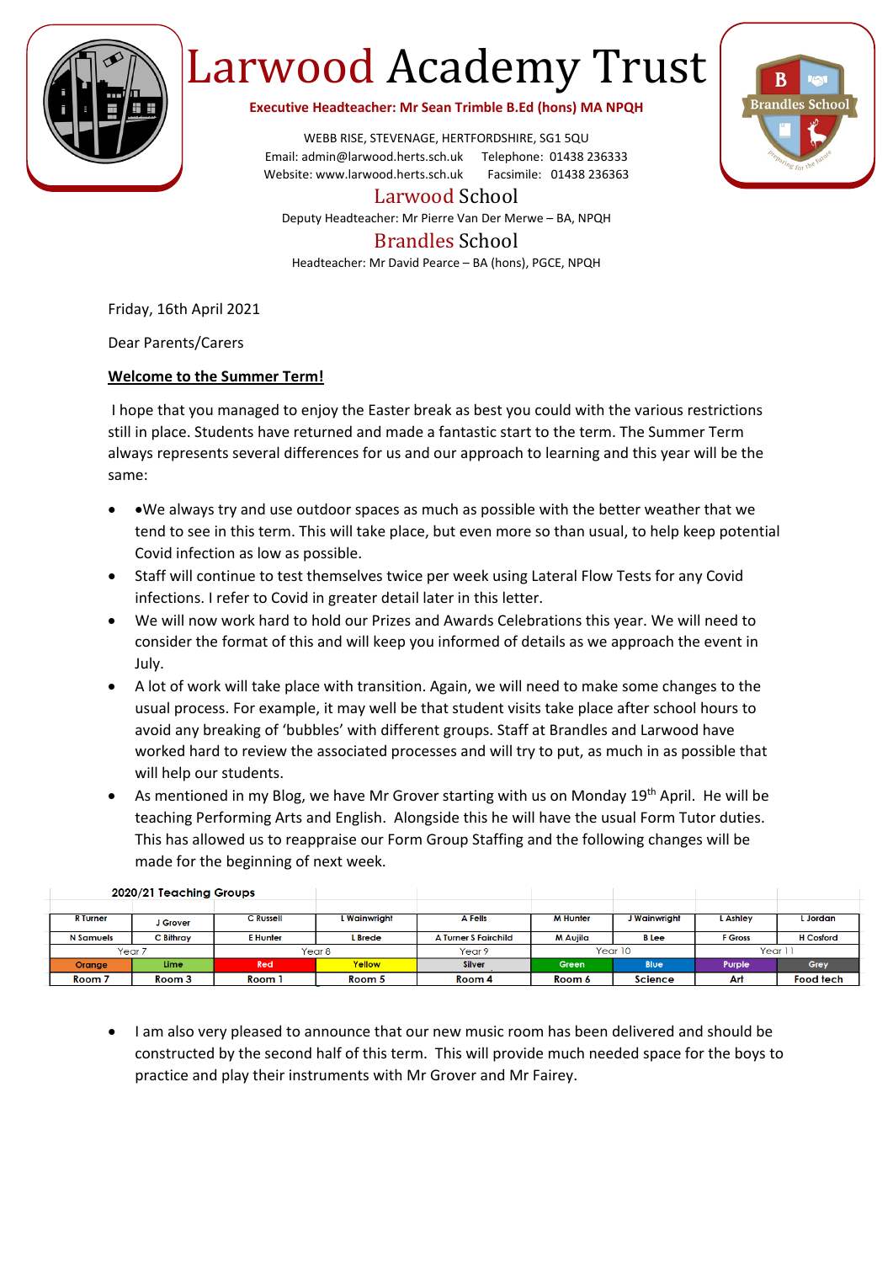

## Larwood Academy Trust

**Executive Headteacher: Mr Sean Trimble B.Ed (hons) MA NPQH**

WEBB RISE, STEVENAGE, HERTFORDSHIRE, SG1 5QU Email: admin@larwood.herts.sch.uk Telephone: 01438 236333 Website: www.larwood.herts.sch.uk Facsimile: 01438 236363

Larwood School

Deputy Headteacher: Mr Pierre Van Der Merwe – BA, NPQH

## Brandles School

Headteacher: Mr David Pearce – BA (hons), PGCE, NPQH

Friday, 16th April 2021

Dear Parents/Carers

## **Welcome to the Summer Term!**

I hope that you managed to enjoy the Easter break as best you could with the various restrictions still in place. Students have returned and made a fantastic start to the term. The Summer Term always represents several differences for us and our approach to learning and this year will be the same:

- •We always try and use outdoor spaces as much as possible with the better weather that we tend to see in this term. This will take place, but even more so than usual, to help keep potential Covid infection as low as possible.
- Staff will continue to test themselves twice per week using Lateral Flow Tests for any Covid infections. I refer to Covid in greater detail later in this letter.
- We will now work hard to hold our Prizes and Awards Celebrations this year. We will need to consider the format of this and will keep you informed of details as we approach the event in July.
- A lot of work will take place with transition. Again, we will need to make some changes to the usual process. For example, it may well be that student visits take place after school hours to avoid any breaking of 'bubbles' with different groups. Staff at Brandles and Larwood have worked hard to review the associated processes and will try to put, as much in as possible that will help our students.
- As mentioned in my Blog, we have Mr Grover starting with us on Monday 19<sup>th</sup> April. He will be teaching Performing Arts and English. Alongside this he will have the usual Form Tutor duties. This has allowed us to reappraise our Form Group Staffing and the following changes will be made for the beginning of next week.

| $2020/21$ is assuming shoops. |             |                  |              |                             |                 |                |                |                  |
|-------------------------------|-------------|------------------|--------------|-----------------------------|-----------------|----------------|----------------|------------------|
|                               |             |                  |              |                             |                 |                |                |                  |
| <b>R</b> Turner               | J Grover    | <b>C</b> Russell | L Wainwriaht | <b>A</b> Fells              | <b>M Hunter</b> | l Wainwright   | <b>Ashley</b>  | . Jordan         |
| <b>N</b> Samuels              | C Bithray   | <b>E</b> Hunter  | L Brede      | <b>A Turner S Fairchild</b> | M Aujila        | <b>B</b> Lee   | <b>F</b> Gross | <b>H</b> Cosford |
| Year <sub>7</sub>             |             | Year 8           |              | Year 9                      | Year 10         |                | Year 1.        |                  |
| Orange                        | <b>Lime</b> | Red              | Yellow       | <b>Silver</b>               | Green           | <b>Blue</b>    | Purple         | Grey             |
| Room 7                        | Room 3      | Room 1           | Room 5       | Room 4                      | Room 6          | <b>Science</b> | <b>Art</b>     | <b>Food tech</b> |

## 2020/21 Teachina Groups

• I am also very pleased to announce that our new music room has been delivered and should be constructed by the second half of this term. This will provide much needed space for the boys to practice and play their instruments with Mr Grover and Mr Fairey.